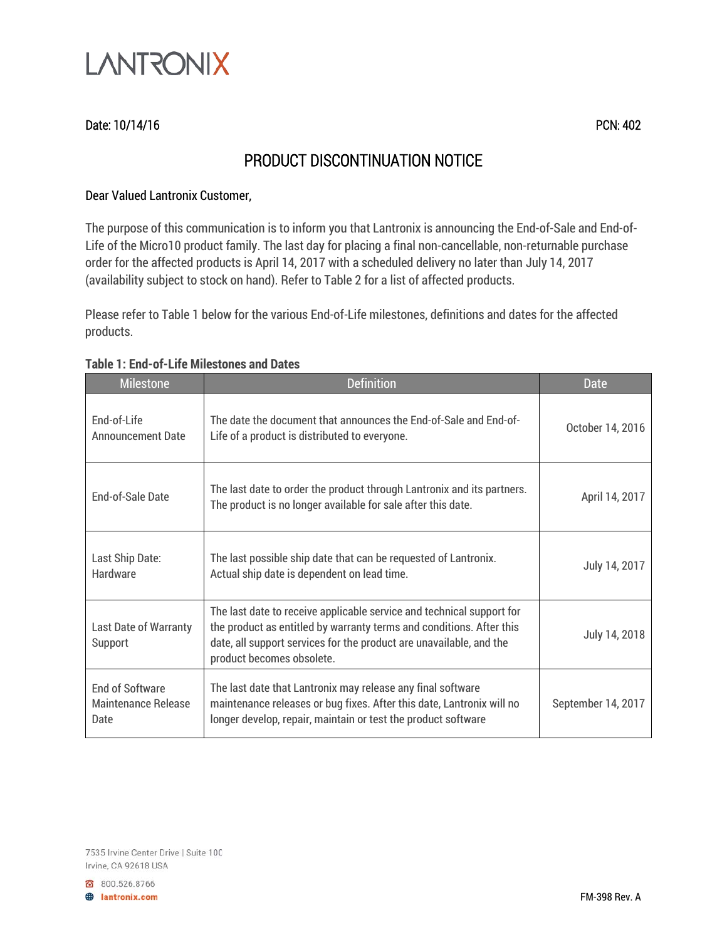

## Date: 10/14/16 PCN: 402

# PRODUCT DISCONTINUATION NOTICE

### Dear Valued Lantronix Customer,

The purpose of this communication is to inform you that Lantronix is announcing the End-of-Sale and End-of-Life of the Micro10 product family. The last day for placing a final non-cancellable, non-returnable purchase order for the affected products is April 14, 2017 with a scheduled delivery no later than July 14, 2017 (availability subject to stock on hand). Refer to Table 2 for a list of affected products.

Please refer to Table 1 below for the various End-of-Life milestones, definitions and dates for the affected products.

#### **Table 1: End-of-Life Milestones and Dates**

| <b>Milestone</b>                                             | <b>Definition</b>                                                                                                                                                                                                                                 | <b>Date</b>        |
|--------------------------------------------------------------|---------------------------------------------------------------------------------------------------------------------------------------------------------------------------------------------------------------------------------------------------|--------------------|
| End-of-Life<br><b>Announcement Date</b>                      | The date the document that announces the End-of-Sale and End-of-<br>Life of a product is distributed to everyone.                                                                                                                                 | October 14, 2016   |
| End-of-Sale Date                                             | The last date to order the product through Lantronix and its partners.<br>The product is no longer available for sale after this date.                                                                                                            | April 14, 2017     |
| Last Ship Date:<br>Hardware                                  | The last possible ship date that can be requested of Lantronix.<br>Actual ship date is dependent on lead time.                                                                                                                                    | July 14, 2017      |
| Last Date of Warranty<br>Support                             | The last date to receive applicable service and technical support for<br>the product as entitled by warranty terms and conditions. After this<br>date, all support services for the product are unavailable, and the<br>product becomes obsolete. | July 14, 2018      |
| <b>End of Software</b><br><b>Maintenance Release</b><br>Date | The last date that Lantronix may release any final software<br>maintenance releases or bug fixes. After this date, Lantronix will no<br>longer develop, repair, maintain or test the product software                                             | September 14, 2017 |

800.526.8766 **B** lantronix.com